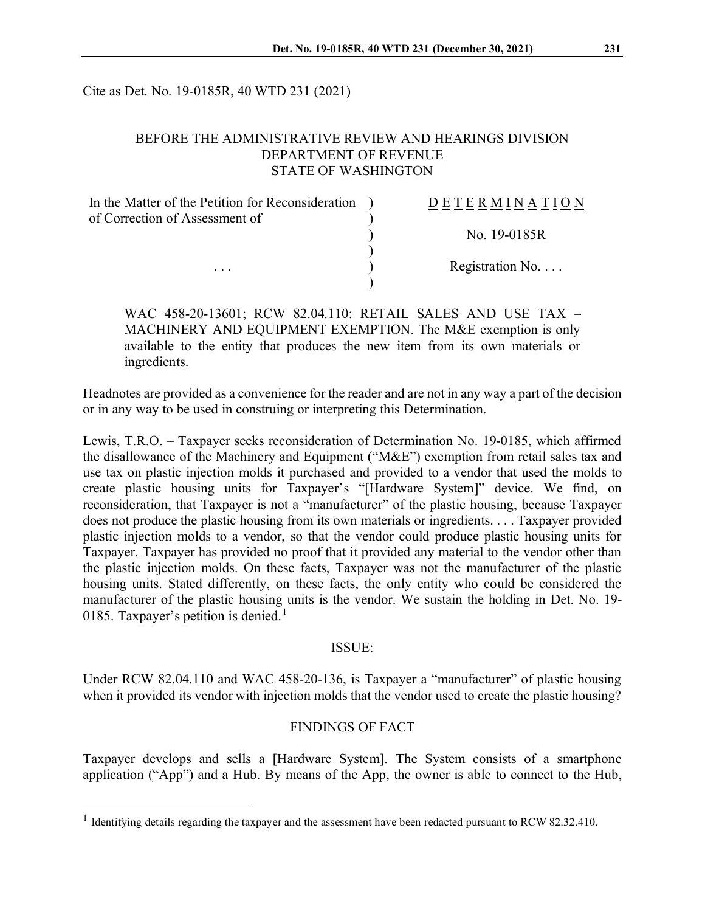Cite as Det. No. 19-0185R, 40 WTD 231 (2021)

# BEFORE THE ADMINISTRATIVE REVIEW AND HEARINGS DIVISION DEPARTMENT OF REVENUE STATE OF WASHINGTON

| In the Matter of the Petition for Reconsideration ) | DETERMINATION            |
|-----------------------------------------------------|--------------------------|
| of Correction of Assessment of                      |                          |
|                                                     | No. 19-0185R             |
|                                                     |                          |
| $\cdots$                                            | Registration No. $\dots$ |
|                                                     |                          |

WAC 458-20-13601; RCW 82.04.110: RETAIL SALES AND USE TAX – MACHINERY AND EQUIPMENT EXEMPTION. The M&E exemption is only available to the entity that produces the new item from its own materials or ingredients.

Headnotes are provided as a convenience for the reader and are not in any way a part of the decision or in any way to be used in construing or interpreting this Determination.

Lewis, T.R.O. – Taxpayer seeks reconsideration of Determination No. 19-0185, which affirmed the disallowance of the Machinery and Equipment ("M&E") exemption from retail sales tax and use tax on plastic injection molds it purchased and provided to a vendor that used the molds to create plastic housing units for Taxpayer's "[Hardware System]" device. We find, on reconsideration, that Taxpayer is not a "manufacturer" of the plastic housing, because Taxpayer does not produce the plastic housing from its own materials or ingredients. . . . Taxpayer provided plastic injection molds to a vendor, so that the vendor could produce plastic housing units for Taxpayer. Taxpayer has provided no proof that it provided any material to the vendor other than the plastic injection molds. On these facts, Taxpayer was not the manufacturer of the plastic housing units. Stated differently, on these facts, the only entity who could be considered the manufacturer of the plastic housing units is the vendor. We sustain the holding in Det. No. 19- 0[1](#page-0-0)85. Taxpayer's petition is denied.<sup>1</sup>

#### ISSUE:

Under RCW 82.04.110 and WAC 458-20-136, is Taxpayer a "manufacturer" of plastic housing when it provided its vendor with injection molds that the vendor used to create the plastic housing?

### FINDINGS OF FACT

Taxpayer develops and sells a [Hardware System]. The System consists of a smartphone application ("App") and a Hub. By means of the App, the owner is able to connect to the Hub,

<span id="page-0-0"></span> $1$  Identifying details regarding the taxpayer and the assessment have been redacted pursuant to RCW 82.32.410.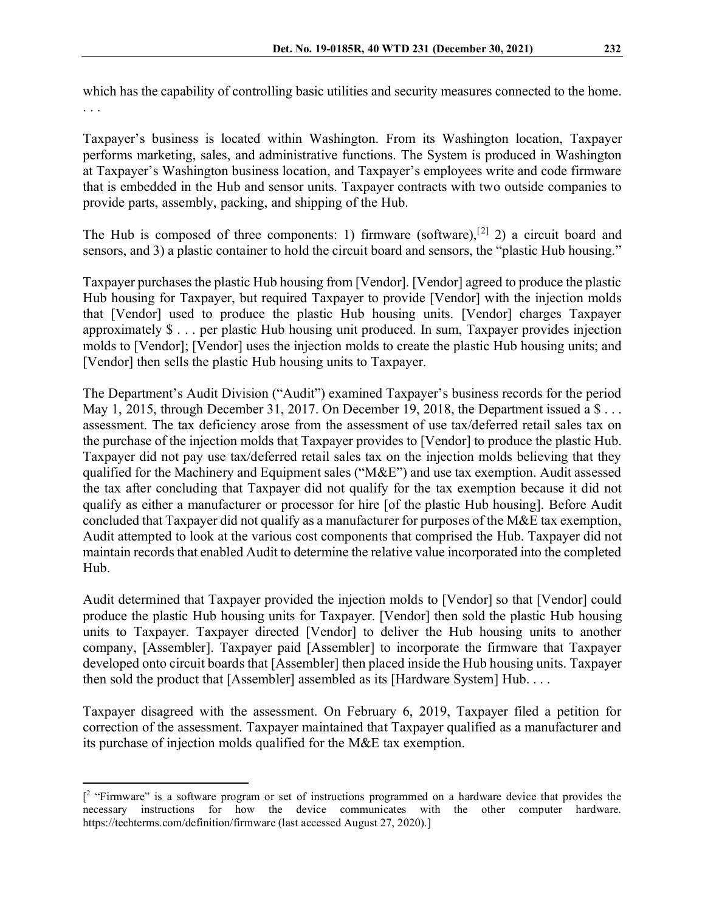which has the capability of controlling basic utilities and security measures connected to the home. . . .

Taxpayer's business is located within Washington. From its Washington location, Taxpayer performs marketing, sales, and administrative functions. The System is produced in Washington at Taxpayer's Washington business location, and Taxpayer's employees write and code firmware that is embedded in the Hub and sensor units. Taxpayer contracts with two outside companies to provide parts, assembly, packing, and shipping of the Hub.

The Hub is composed of three components: 1) firmware (software),<sup>[[2](#page-1-0)]</sup> 2) a circuit board and sensors, and 3) a plastic container to hold the circuit board and sensors, the "plastic Hub housing."

Taxpayer purchases the plastic Hub housing from [Vendor]. [Vendor] agreed to produce the plastic Hub housing for Taxpayer, but required Taxpayer to provide [Vendor] with the injection molds that [Vendor] used to produce the plastic Hub housing units. [Vendor] charges Taxpayer approximately \$ . . . per plastic Hub housing unit produced. In sum, Taxpayer provides injection molds to [Vendor]; [Vendor] uses the injection molds to create the plastic Hub housing units; and [Vendor] then sells the plastic Hub housing units to Taxpayer.

The Department's Audit Division ("Audit") examined Taxpayer's business records for the period May 1, 2015, through December 31, 2017. On December 19, 2018, the Department issued a \$... assessment. The tax deficiency arose from the assessment of use tax/deferred retail sales tax on the purchase of the injection molds that Taxpayer provides to [Vendor] to produce the plastic Hub. Taxpayer did not pay use tax/deferred retail sales tax on the injection molds believing that they qualified for the Machinery and Equipment sales ("M&E") and use tax exemption. Audit assessed the tax after concluding that Taxpayer did not qualify for the tax exemption because it did not qualify as either a manufacturer or processor for hire [of the plastic Hub housing]. Before Audit concluded that Taxpayer did not qualify as a manufacturer for purposes of the M&E tax exemption, Audit attempted to look at the various cost components that comprised the Hub. Taxpayer did not maintain records that enabled Audit to determine the relative value incorporated into the completed Hub.

Audit determined that Taxpayer provided the injection molds to [Vendor] so that [Vendor] could produce the plastic Hub housing units for Taxpayer. [Vendor] then sold the plastic Hub housing units to Taxpayer. Taxpayer directed [Vendor] to deliver the Hub housing units to another company, [Assembler]. Taxpayer paid [Assembler] to incorporate the firmware that Taxpayer developed onto circuit boards that [Assembler] then placed inside the Hub housing units. Taxpayer then sold the product that [Assembler] assembled as its [Hardware System] Hub. . . .

Taxpayer disagreed with the assessment. On February 6, 2019, Taxpayer filed a petition for correction of the assessment. Taxpayer maintained that Taxpayer qualified as a manufacturer and its purchase of injection molds qualified for the M&E tax exemption.

<span id="page-1-0"></span><sup>[&</sup>lt;sup>2</sup> "Firmware" is a software program or set of instructions programmed on a hardware device that provides the necessary instructions for how the device communicates with the other computer hardware. https://techterms.com/definition/firmware (last accessed August 27, 2020).]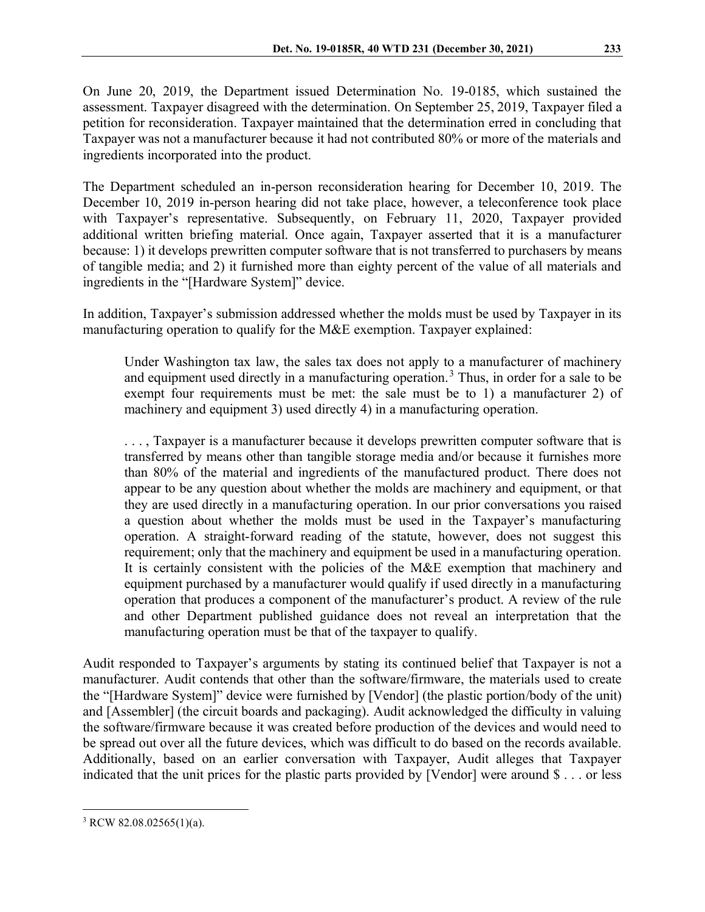On June 20, 2019, the Department issued Determination No. 19-0185, which sustained the assessment. Taxpayer disagreed with the determination. On September 25, 2019, Taxpayer filed a petition for reconsideration. Taxpayer maintained that the determination erred in concluding that Taxpayer was not a manufacturer because it had not contributed 80% or more of the materials and ingredients incorporated into the product.

The Department scheduled an in-person reconsideration hearing for December 10, 2019. The December 10, 2019 in-person hearing did not take place, however, a teleconference took place with Taxpayer's representative. Subsequently, on February 11, 2020, Taxpayer provided additional written briefing material. Once again, Taxpayer asserted that it is a manufacturer because: 1) it develops prewritten computer software that is not transferred to purchasers by means of tangible media; and 2) it furnished more than eighty percent of the value of all materials and ingredients in the "[Hardware System]" device.

In addition, Taxpayer's submission addressed whether the molds must be used by Taxpayer in its manufacturing operation to qualify for the M&E exemption. Taxpayer explained:

Under Washington tax law, the sales tax does not apply to a manufacturer of machinery and equipment used directly in a manufacturing operation.<sup>[3](#page-2-0)</sup> Thus, in order for a sale to be exempt four requirements must be met: the sale must be to 1) a manufacturer 2) of machinery and equipment 3) used directly 4) in a manufacturing operation.

. . . , Taxpayer is a manufacturer because it develops prewritten computer software that is transferred by means other than tangible storage media and/or because it furnishes more than 80% of the material and ingredients of the manufactured product. There does not appear to be any question about whether the molds are machinery and equipment, or that they are used directly in a manufacturing operation. In our prior conversations you raised a question about whether the molds must be used in the Taxpayer's manufacturing operation. A straight-forward reading of the statute, however, does not suggest this requirement; only that the machinery and equipment be used in a manufacturing operation. It is certainly consistent with the policies of the M&E exemption that machinery and equipment purchased by a manufacturer would qualify if used directly in a manufacturing operation that produces a component of the manufacturer's product. A review of the rule and other Department published guidance does not reveal an interpretation that the manufacturing operation must be that of the taxpayer to qualify.

Audit responded to Taxpayer's arguments by stating its continued belief that Taxpayer is not a manufacturer. Audit contends that other than the software/firmware, the materials used to create the "[Hardware System]" device were furnished by [Vendor] (the plastic portion/body of the unit) and [Assembler] (the circuit boards and packaging). Audit acknowledged the difficulty in valuing the software/firmware because it was created before production of the devices and would need to be spread out over all the future devices, which was difficult to do based on the records available. Additionally, based on an earlier conversation with Taxpayer, Audit alleges that Taxpayer indicated that the unit prices for the plastic parts provided by [Vendor] were around \$ . . . or less

<span id="page-2-0"></span> $3$  RCW 82.08.02565(1)(a).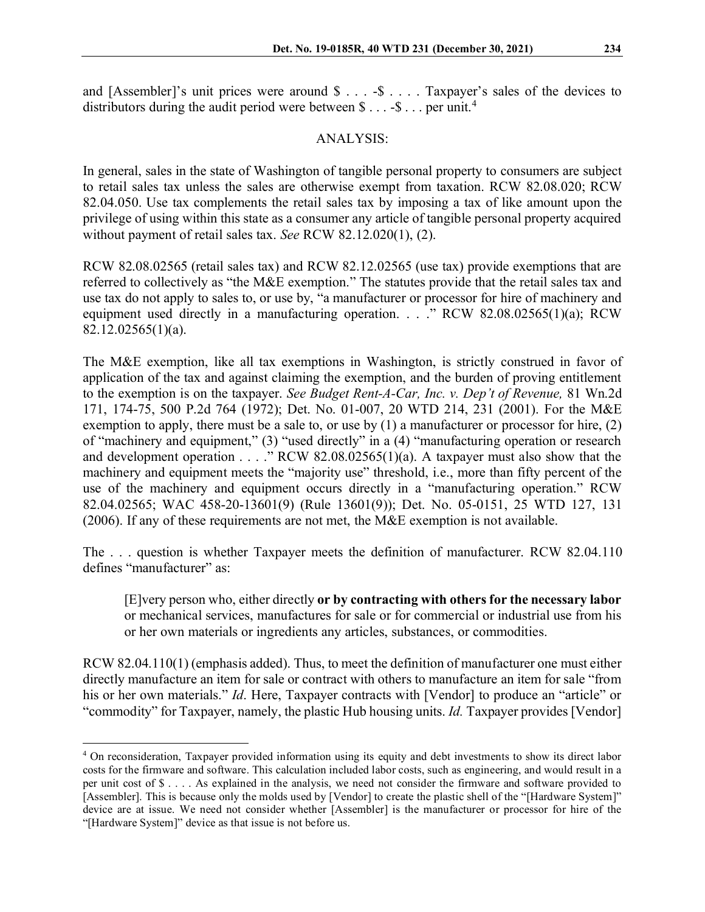and [Assembler]'s unit prices were around \$ . . . -\$ . . . . Taxpayer's sales of the devices to distributors during the audit period were between  $\$\dots\,-\$\dots\,$  per unit.<sup>[4](#page-3-0)</sup>

### ANALYSIS:

In general, sales in the state of Washington of tangible personal property to consumers are subject to retail sales tax unless the sales are otherwise exempt from taxation. RCW 82.08.020; RCW 82.04.050. Use tax complements the retail sales tax by imposing a tax of like amount upon the privilege of using within this state as a consumer any article of tangible personal property acquired without payment of retail sales tax. *See* RCW 82.12.020(1), (2).

RCW 82.08.02565 (retail sales tax) and RCW 82.12.02565 (use tax) provide exemptions that are referred to collectively as "the M&E exemption." The statutes provide that the retail sales tax and use tax do not apply to sales to, or use by, "a manufacturer or processor for hire of machinery and equipment used directly in a manufacturing operation. . . . . RCW 82.08.02565(1)(a); RCW 82.12.02565(1)(a).

The M&E exemption, like all tax exemptions in Washington, is strictly construed in favor of application of the tax and against claiming the exemption, and the burden of proving entitlement to the exemption is on the taxpayer. *See Budget Rent-A-Car, Inc. v. Dep't of Revenue,* 81 Wn.2d 171, 174-75, 500 P.2d 764 (1972); Det. No. 01-007, 20 WTD 214, 231 (2001). For the M&E exemption to apply, there must be a sale to, or use by  $(1)$  a manufacturer or processor for hire,  $(2)$ of "machinery and equipment," (3) "used directly" in a (4) "manufacturing operation or research and development operation  $\dots$  ." RCW 82.08.02565(1)(a). A taxpayer must also show that the machinery and equipment meets the "majority use" threshold, i.e., more than fifty percent of the use of the machinery and equipment occurs directly in a "manufacturing operation." RCW 82.04.02565; WAC 458-20-13601(9) (Rule 13601(9)); Det. No. 05-0151, 25 WTD 127, 131 (2006). If any of these requirements are not met, the M&E exemption is not available.

The . . . question is whether Taxpayer meets the definition of manufacturer. RCW 82.04.110 defines "manufacturer" as:

[E]very person who, either directly **or by contracting with others for the necessary labor** or mechanical services, manufactures for sale or for commercial or industrial use from his or her own materials or ingredients any articles, substances, or commodities.

RCW 82.04.110(1) (emphasis added). Thus, to meet the definition of manufacturer one must either directly manufacture an item for sale or contract with others to manufacture an item for sale "from his or her own materials." *Id*. Here, Taxpayer contracts with [Vendor] to produce an "article" or "commodity" for Taxpayer, namely, the plastic Hub housing units. *Id.* Taxpayer provides [Vendor]

<span id="page-3-0"></span><sup>4</sup> On reconsideration, Taxpayer provided information using its equity and debt investments to show its direct labor costs for the firmware and software. This calculation included labor costs, such as engineering, and would result in a per unit cost of \$ . . . . As explained in the analysis, we need not consider the firmware and software provided to [Assembler]. This is because only the molds used by [Vendor] to create the plastic shell of the "[Hardware System]" device are at issue. We need not consider whether [Assembler] is the manufacturer or processor for hire of the "[Hardware System]" device as that issue is not before us.